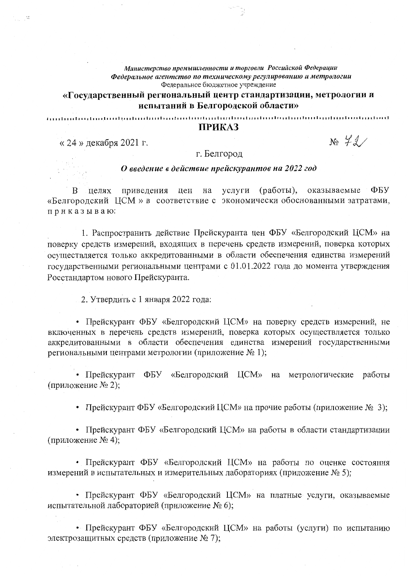Министерство промышленности и торговли Российской Федерации Федеральное агентство по техническому регулированию и метрологии Федеральное бюджетное учреждение

«Государственный региональный центр стандартизации, метрологии и испытаний в Белгородской области»

funtiorlautauterdunteerlautauterdiechertauterdauterdautautauterden lautaisten d

## **ПРИКАЗ**

« 24 » декабря 2021 г.

 $\ddot{\phantom{a}}$ 

 $N_2$  72/

г. Белгород

## О введение в действие прейскурантов на 2022 год

ФБУ целях приведения цен на услуги (работы), оказываемые  $\mathbf{B}$ «Белгородский ЦСМ» в соответствие с экономически обоснованными затратами, приказываю:

1. Распространить действие Прейскуранта цен ФБУ «Белгородский ЦСМ» на поверку средств измерений, входящих в перечень средств измерений, поверка которых осуществляется только аккредитованными в области обеспечения единства измерений государственными региональными центрами с 01.01.2022 года до момента утверждения Росстандартом нового Прейскуранта.

2. Утвердить с 1 января 2022 года:

• Прейскурант ФБУ «Белгородский ЦСМ» на поверку средств измерений, не включенных в перечень средств измерений, поверка которых осуществляется только аккредитованными в области обеспечения единства измерений государственными региональными центрами метрологии (приложение № 1);

• Прейскурант ФБУ «Белгородский ЦСМ» на метрологические работы (приложение № 2);

• Прейскурант ФБУ «Белгородский ЦСМ» на прочие работы (приложение  $N_2$  3);

• Прейскурант ФБУ «Белгородский ЦСМ» на работы в области стандартизации (приложение № 4);

• Прейскурант ФБУ «Белгородский ЦСМ» на работы по оценке состояния измерений в испытательных и измерительных лабораториях (приложение  $N_2$  5);

• Прейскурант ФБУ «Белгородский ЦСМ» на платные услуги, оказываемые испытательной лабораторией (приложение № 6):

• Прейскурант ФБУ «Белгородский ЦСМ» на работы (услуги) по испытанию электрозащитных средств (приложение № 7);